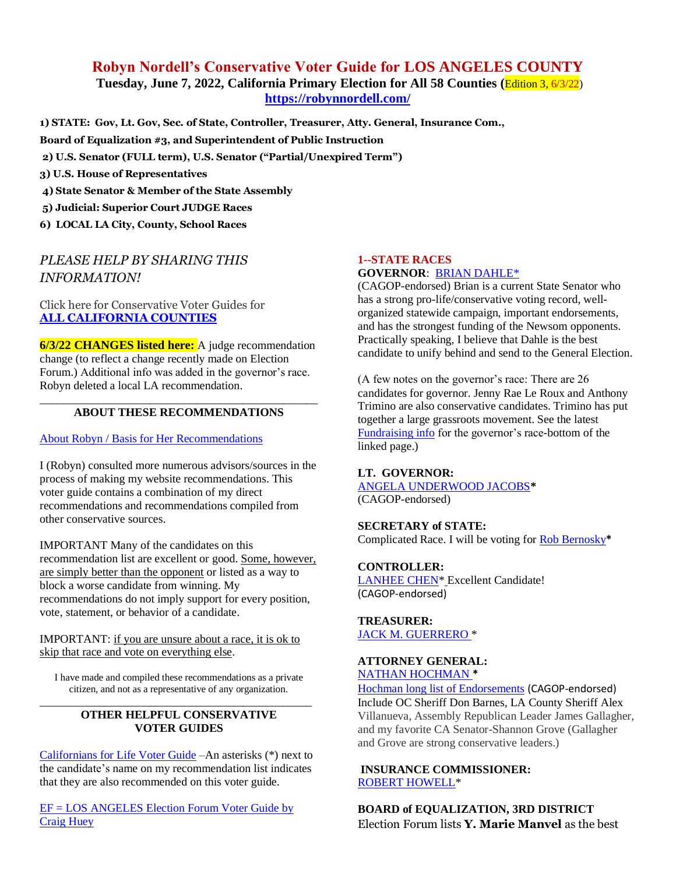## **Robyn Nordell's Conservative Voter Guide for LOS ANGELES COUNTY Tuesday, June 7, 2022, California Primary Election for All 58 Counties (**Edition 3, 6/3/22) **<https://robynnordell.com/>**

**1) STATE: Gov, Lt. Gov, Sec. of State, Controller, Treasurer, Atty. General, Insurance Com.,** 

- **Board of Equalization #3, and Superintendent of Public Instruction**
- **2) U.S. Senator (FULL term), U.S. Senator ("Partial/Unexpired Term")**
- **3) U.S. House of Representatives**
- **4) State Senator & Member of the State Assembly**
- **5) Judicial: Superior Court JUDGE Races**
- **6) LOCAL LA City, County, School Races**

# *PLEASE HELP BY SHARING THIS INFORMATION!*

Click here for Conservative Voter Guides for **[ALL CALIFORNIA COUNTIES](https://robynnordell.com/counties/)**

**6/3/22 CHANGES listed here:** A judge recommendation change (to reflect a change recently made on Election Forum.) Additional info was added in the governor's race. Robyn deleted a local LA recommendation.

#### \_\_\_\_\_\_\_\_\_\_\_\_\_\_\_\_\_\_\_\_\_\_\_\_\_\_\_\_\_\_\_\_\_\_\_\_\_\_\_\_\_\_\_\_\_\_\_\_ **ABOUT THESE RECOMMENDATIONS**

#### [About Robyn / Basis for Her Recommendations](https://robynnordell.com/about-robyn/)

I (Robyn) consulted more numerous advisors/sources in the process of making my website recommendations. This voter guide contains a combination of my direct recommendations and recommendations compiled from other conservative sources.

IMPORTANT Many of the candidates on this recommendation list are excellent or good. Some, however, are simply better than the opponent or listed as a way to block a worse candidate from winning. My recommendations do not imply support for every position, vote, statement, or behavior of a candidate.

#### IMPORTANT: if you are unsure about a race, it is ok to skip that race and vote on everything else.

I have made and compiled these recommendations as a private citizen, and not as a representative of any organization.

#### \_\_\_\_\_\_\_\_\_\_\_\_\_\_\_\_\_\_\_\_\_\_\_\_\_\_\_\_\_\_\_\_\_\_\_\_\_\_\_\_\_\_\_\_\_\_\_ **OTHER HELPFUL CONSERVATIVE VOTER GUIDES**

[Californians for Life Voter](https://californiansforlife.org/pro-life-voter-information/) Guide –An asterisks (\*) next to the candidate's name on my recommendation list indicates that they are also recommended on this voter guide.

[EF = LOS ANGELES Election Forum Voter Guide by](https://www.electionforum.org/los-angeles-county/)  [Craig Huey](https://www.electionforum.org/los-angeles-county/) 

## **1--STATE RACES**

## **GOVERNOR**: [BRIAN DAHLE\\*](https://briandahle.com/about-brian/)

(CAGOP-endorsed) Brian is a current State Senator who has a strong pro-life/conservative voting record, wellorganized statewide campaign, important endorsements, and has the strongest funding of the Newsom opponents. Practically speaking, I believe that Dahle is the best candidate to unify behind and send to the General Election.

(A few notes on the governor's race: There are 26 candidates for governor. Jenny Rae Le Roux and Anthony Trimino are also conservative candidates. Trimino has put together a large grassroots movement. See the latest [Fundraising info](https://calmatters.org/california-voter-guide-2022/governor/) for the governor's race-bottom of the linked page.)

#### **LT. GOVERNOR:**

[ANGELA UNDERWOOD JACOBS](https://www.angelaforcalifornia.com/about)**\*** (CAGOP-endorsed)

# **SECRETARY of STATE:**

Complicated Race. I will be voting fo[r Rob Bernosky](http://www.votebernosky.com/)**\***

#### **CONTROLLER:**

LANHEE CHEN<sup>\*</sup> Excellent Candidate! (CAGOP-endorsed)

**TREASURER:** [JACK M. GUERRERO](https://www.jack4treasurer.com/) \*

#### **ATTORNEY GENERAL:** [NATHAN HOCHMAN](https://www.nathanhochman.com/) **\***

[Hochman long list of Endorsements](https://www.nathanhochman.com/endorsements/) (CAGOP-endorsed) Include OC Sheriff Don Barnes, LA County Sheriff Alex Villanueva, Assembly Republican Leader James Gallagher, and my favorite CA Senator-Shannon Grove (Gallagher and Grove are strong conservative leaders.)

#### **INSURANCE COMMISSIONER:** [ROBERT HOWELL\\*](https://electroberthowell.com/meet-robert/)

**BOARD of EQUALIZATION, 3RD DISTRICT** Election Forum lists **Y. Marie Manvel** as the best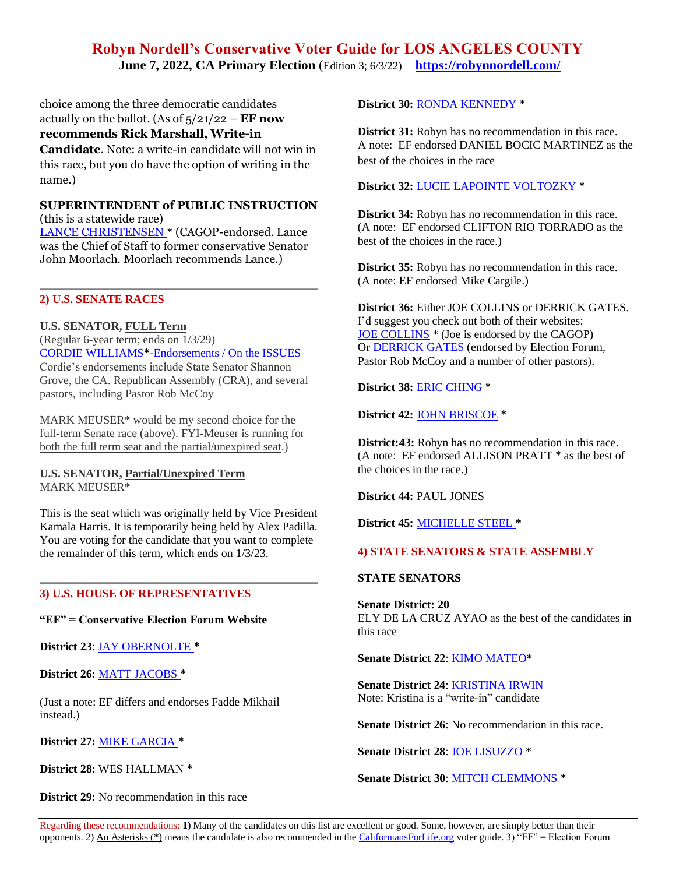# **Robyn Nordell's Conservative Voter Guide for LOS ANGELES COUNTY June 7, 2022, CA Primary Election** (Edition 3; 6/3/22) **<https://robynnordell.com/>**

choice among the three democratic candidates actually on the ballot. (As of 5/21/22 – **EF now recommends Rick Marshall, Write-in Candidate**. Note: a write-in candidate will not win in this race, but you do have the option of writing in the name.)

#### **SUPERINTENDENT of PUBLIC INSTRUCTION**  (this is a statewide race)

[LANCE CHRISTENSEN](https://lancechristensen.com/endorsements) **\*** (CAGOP-endorsed. Lance was the Chief of Staff to former conservative Senator John Moorlach. Moorlach recommends Lance.)

## **2) U.S. SENATE RACES**

**U.S. SENATOR, FULL Term** (Regular 6-year term; ends on 1/3/29) [CORDIE WILLIAMS](https://www.cordie4senate.com/endorsements/)**\***-Endorsements [/ On the ISSUES](https://www.cordie4senate.com/issues/) Cordie's endorsements include State Senator Shannon Grove, the CA. Republican Assembly (CRA), and several pastors, including Pastor Rob McCoy

MARK MEUSER\* would be my second choice for the full-term Senate race (above). FYI-Meuser is running for both the full term seat and the partial/unexpired seat.)

#### **U.S. SENATOR, Partial/Unexpired Term** MARK MEUSER\*

This is the seat which was originally held by Vice President Kamala Harris. It is temporarily being held by Alex Padilla. You are voting for the candidate that you want to complete the remainder of this term, which ends on 1/3/23.

#### **3) U.S. HOUSE OF REPRESENTATIVES**

**"EF" = Conservative Election Forum Website**

**District 23**: JAY [OBERNOLTE](http://electjay.com/#!/up) **\***

**District 26:** MATT [JACOBS](https://mattjacobsforcongress.com/) **\***

(Just a note: EF differs and endorses Fadde Mikhail instead.)

**District 27:** [MIKE GARCIA](https://www.electmikegarcia.com/) **\***

**District 28:** WES HALLMAN **\***

**District 29:** No recommendation in this race

**District 30:** [RONDA KENNEDY](https://rondakennedy.com/issues/) **\***

**District 31:** Robyn has no recommendation in this race. A note: EF endorsed DANIEL BOCIC MARTINEZ as the best of the choices in the race

**District 32:** LUCIE LAPOINTE [VOLTOZKY](https://www.voteforlucie.com/) **\***

**District 34:** Robyn has no recommendation in this race. (A note: EF endorsed CLIFTON RIO TORRADO as the best of the choices in the race.)

**District 35:** Robyn has no recommendation in this race. (A note: EF endorsed Mike Cargile.)

**District 36:** Either JOE COLLINS or DERRICK GATES. I'd suggest you check out both of their websites: JOE [COLLINS](https://joeecollins3.com/) \* (Joe is endorsed by the CAGOP) Or [DERRICK](https://www.officialderrickgates.com/) GATES (endorsed by Election Forum, Pastor Rob McCoy and a number of other pastors).

**District 38:** [ERIC CHING](https://ericchingforcongress.com/about.html) **\***

**District 42:** [JOHN BRISCOE](https://johnbriscoe.us/) **\***

**District:43:** Robyn has no recommendation in this race. (A note: EF endorsed ALLISON PRATT **\*** as the best of the choices in the race.)

**District 44:** PAUL JONES

**District 45:** [MICHELLE STEEL](https://michellesteelca.com/) **\***

## **4) STATE SENATORS & STATE ASSEMBLY**

#### **STATE SENATORS**

**Senate District: 20** ELY DE LA CRUZ AYAO as the best of the candidates in this race

**Senate District 22**: KIMO [MATEO](https://www.mateo4senator.com/platform)**\***

**Senate District 24**: [KRISTINA](https://kristinairwin.com/about/) IRWIN Note: Kristina is a "write-in" candidate

**Senate District 26:** No recommendation in this race.

**Senate District 28**: [JOE LISUZZO](https://joelisuzzo.com/endorsements/) **\***

**Senate District 30**: MITCH [CLEMMONS](https://www.electmitchclemmons.com/?fbclid=IwAR2sR0RQG8eu9l0XjH5wVlo0PXv26jPFFPl6dclGN0aL4t9bhB7se1SazPo) **\***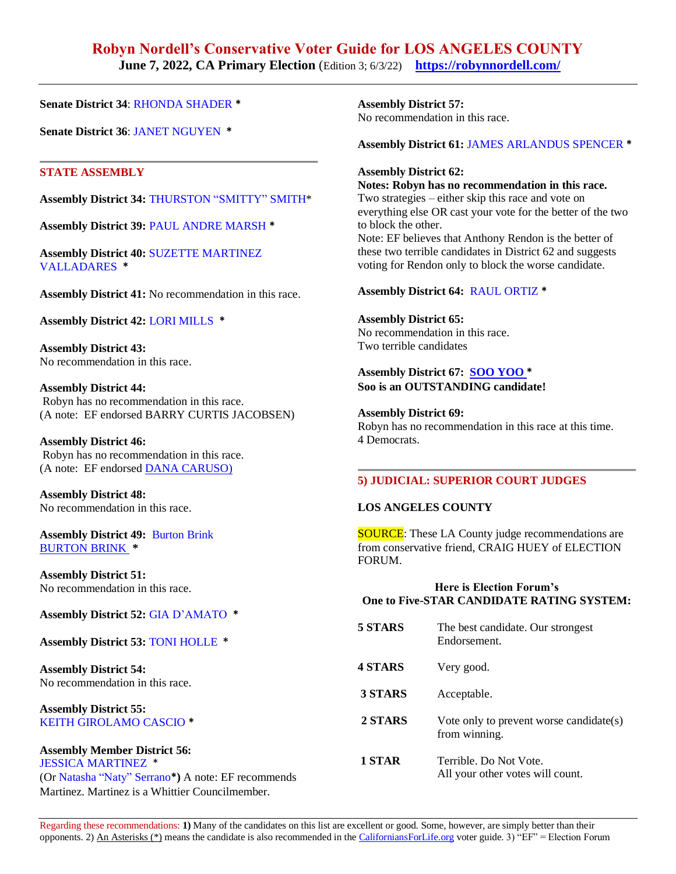# **Robyn Nordell's Conservative Voter Guide for LOS ANGELES COUNTY**

**June 7, 2022, CA Primary Election** (Edition 3; 6/3/22) **<https://robynnordell.com/>** 

**Senate District 34**: [RHONDA](https://shaderforsenate.com/meet-rhonda/) SHADER **\***

**Senate District 36**: JANET [NGUYEN](https://janet2022.com/) **\***

#### **STATE ASSEMBLY**

**Assembly District 34:** [THURSTON](http://joinsmitty.com/) "SMITTY" SMITH\*

**Assembly District 39:** PAUL ANDRE [MARSH](https://www.paulmarshforassembly.com/meet-paul) **\***

**Assembly District 40:** SUZETTE [MARTINEZ](https://suzettevalladares.com/) [VALLADARES](https://suzettevalladares.com/) **\***

**Assembly District 41:** No recommendation in this race.

**Assembly District 42:** LORI [MILLS](https://lorimills4stateassembly.com/endorsements/) **\***

**Assembly District 43:** No recommendation in this race.

**Assembly District 44:** Robyn has no recommendation in this race. (A note: EF endorsed BARRY CURTIS JACOBSEN)

**Assembly District 46:**  Robyn has no recommendation in this race. (A note: EF endorsed [DANA CARUSO\)](http://www.carusoforcalifornia.com/)

**Assembly District 48:** No recommendation in this race.

**Assembly District 49:** [Burton](https://burtonbrinkca.com/about/) Brink [BURTON](https://burtonbrinkca.com/endorsements/#toggle-id-4) BRINK **\***

**Assembly District 51:** No recommendation in this race.

**Assembly District 52:** GIA [D'AMATO](https://giafor2022.com/about-gia) **\***

**Assembly District 53:** TONI [HOLLE](https://www.facebook.com/Holle4Assembly) **\***

**Assembly District 54:** No recommendation in this race.

**Assembly District 55:**  KEITH [GIROLAMO](https://keithfor55.org/) CASCIO **\***

**Assembly Member District 56:** JESSICA [MARTINEZ](https://www.facebook.com/MartinezforAssembly) \* (Or [Natasha](https://www.natashaforassembly.com/copy-of-about) "Naty" Serrano**\*)** A note: EF recommends

Martinez. Martinez is a Whittier Councilmember.

**Assembly District 57:** No recommendation in this race.

**Assembly District 61:** JAMES [ARLANDUS](https://www.facebook.com/james.spencer.777158) SPENCER **\***

#### **Assembly District 62:**

**Notes: Robyn has no recommendation in this race.** Two strategies – either skip this race and vote on everything else OR cast your vote for the better of the two to block the other. Note: EF believes that Anthony Rendon is the better of these two terrible candidates in District 62 and suggests voting for Rendon only to block the worse candidate.

#### **Assembly District 64:** RAUL [ORTIZ](https://direct.me/raulforassembly) **\***

**Assembly District 65:** No recommendation in this race. Two terrible candidates

# **Assembly District 67: SOO [YOO](https://sooyooforassembly.com/) \***

**Soo is an OUTSTANDING candidate!**

**Assembly District 69:**

Robyn has no recommendation in this race at this time. 4 Democrats.

## **5) JUDICIAL: SUPERIOR COURT JUDGES**

#### **LOS ANGELES COUNTY**

**SOURCE:** These LA County judge recommendations are from conservative friend, CRAIG HUEY of ELECTION FORUM.

#### **Here is Election Forum's One to Five-STAR CANDIDATE RATING SYSTEM:**

| 5 STARS        | The best candidate. Our strongest<br>Endorsement.          |
|----------------|------------------------------------------------------------|
| <b>4 STARS</b> | Very good.                                                 |
| 3 STARS        | Acceptable.                                                |
| 2 STARS        | Vote only to prevent worse candidate(s)<br>from winning.   |
| 1 STAR         | Terrible. Do Not Vote.<br>All your other votes will count. |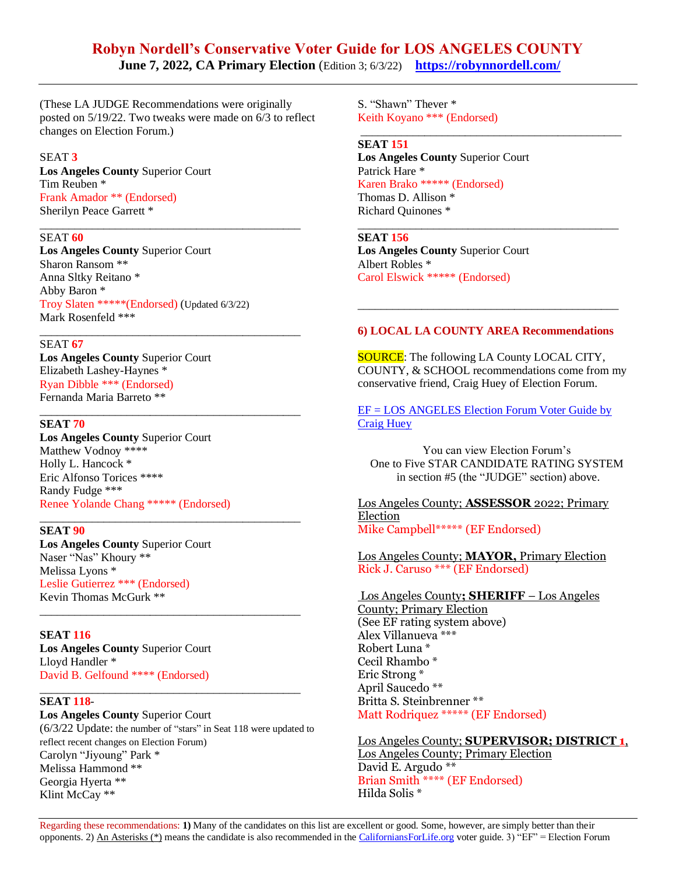# **Robyn Nordell's Conservative Voter Guide for LOS ANGELES COUNTY**

**June 7, 2022, CA Primary Election** (Edition 3; 6/3/22) **<https://robynnordell.com/>** 

(These LA JUDGE Recommendations were originally posted on 5/19/22. Two tweaks were made on 6/3 to reflect changes on Election Forum.)

\_\_\_\_\_\_\_\_\_\_\_\_\_\_\_\_\_\_\_\_\_\_\_\_\_\_\_\_\_\_\_\_\_\_\_\_\_\_\_\_\_\_\_\_\_

\_\_\_\_\_\_\_\_\_\_\_\_\_\_\_\_\_\_\_\_\_\_\_\_\_\_\_\_\_\_\_\_\_\_\_\_\_\_\_\_\_\_\_\_\_

\_\_\_\_\_\_\_\_\_\_\_\_\_\_\_\_\_\_\_\_\_\_\_\_\_\_\_\_\_\_\_\_\_\_\_\_\_\_\_\_\_\_\_\_\_

\_\_\_\_\_\_\_\_\_\_\_\_\_\_\_\_\_\_\_\_\_\_\_\_\_\_\_\_\_\_\_\_\_\_\_\_\_\_\_\_\_\_\_\_\_

\_\_\_\_\_\_\_\_\_\_\_\_\_\_\_\_\_\_\_\_\_\_\_\_\_\_\_\_\_\_\_\_\_\_\_\_\_\_\_\_\_\_\_\_\_

#### SEAT **3**

**Los Angeles County** Superior Court Tim Reuben \* Frank Amador \*\* (Endorsed) Sherilyn Peace Garrett \*

#### SEAT **60**

**Los Angeles County** Superior Court Sharon Ransom \*\* Anna Sltky Reitano \* Abby Baron \* Troy Slaten \*\*\*\*\*(Endorsed) (Updated 6/3/22) Mark Rosenfeld \*\*\*

#### SEAT **67**

**Los Angeles County** Superior Court Elizabeth Lashey-Haynes \* Ryan Dibble \*\*\* (Endorsed) Fernanda Maria Barreto \*\*

#### **SEAT 70**

**Los Angeles County** Superior Court Matthew Vodnoy \*\*\*\* Holly L. Hancock \* Eric Alfonso Torices \*\*\*\* Randy Fudge \*\*\* Renee Yolande Chang \*\*\*\*\* (Endorsed)

#### **SEAT 90**

**Los Angeles County** Superior Court Naser "Nas" Khoury \*\* Melissa Lyons \* Leslie Gutierrez \*\*\* (Endorsed) Kevin Thomas McGurk \*\*

**SEAT 116 Los Angeles County** Superior Court Lloyd Handler \* David B. Gelfound \*\*\*\* (Endorsed)

#### \_\_\_\_\_\_\_\_\_\_\_\_\_\_\_\_\_\_\_\_\_\_\_\_\_\_\_\_\_\_\_\_\_\_\_\_\_\_\_\_\_\_\_\_\_ **SEAT 118**-

**Los Angeles County** Superior Court (6/3/22 Update: the number of "stars" in Seat 118 were updated to reflect recent changes on Election Forum) Carolyn "Jiyoung" Park \* Melissa Hammond \*\* Georgia Hyerta \*\* Klint McCay \*\*

S. "Shawn" Thever \* Keith Koyano \*\*\* (Endorsed)

#### **SEAT 151 Los Angeles County** Superior Court Patrick Hare \* Karen Brako \*\*\*\*\* (Endorsed) Thomas D. Allison \* Richard Quinones \*

**SEAT 156 Los Angeles County** Superior Court Albert Robles \* Carol Elswick \*\*\*\*\* (Endorsed)

#### **6) LOCAL LA COUNTY AREA Recommendations**

\_\_\_\_\_\_\_\_\_\_\_\_\_\_\_\_\_\_\_\_\_\_\_\_\_\_\_\_\_\_\_\_\_\_\_\_\_\_\_\_\_\_\_\_\_

\_\_\_\_\_\_\_\_\_\_\_\_\_\_\_\_\_\_\_\_\_\_\_\_\_\_\_\_\_\_\_\_\_\_\_\_\_\_\_\_\_\_\_\_\_

\_\_\_\_\_\_\_\_\_\_\_\_\_\_\_\_\_\_\_\_\_\_\_\_\_\_\_\_\_\_\_\_\_\_\_\_\_\_\_\_\_\_\_\_\_

**SOURCE:** The following LA County LOCAL CITY, COUNTY, & SCHOOL recommendations come from my conservative friend, Craig Huey of Election Forum.

[EF = LOS ANGELES Election Forum Voter Guide by](https://www.electionforum.org/los-angeles-county/)  [Craig Huey](https://www.electionforum.org/los-angeles-county/) 

You can view Election Forum's One to Five STAR CANDIDATE RATING SYSTEM in section #5 (the "JUDGE" section) above.

Los Angeles County; **ASSESSOR** 2022; Primary Election Mike Campbell\*\*\*\*\* (EF Endorsed)

Los Angeles County; **MAYOR,** Primary Election Rick J. Caruso \*\*\* (EF Endorsed)

Los Angeles County**; SHERIFF** – Los Angeles County; Primary Election (See EF rating system above) Alex Villanueva \*\*\* Robert Luna \* Cecil Rhambo \* Eric Strong \* April Saucedo \*\* Britta S. Steinbrenner \*\* Matt Rodriquez \*\*\*\*\* (EF Endorsed)

Los Angeles County; **SUPERVISOR; DISTRICT 1**, Los Angeles County; Primary Election David E. Argudo \*\* Brian Smith \*\*\*\* (EF Endorsed) Hilda Solis \*

Regarding these recommendations: **1)** Many of the candidates on this list are excellent or good. Some, however, are simply better than their opponents. 2) An Asterisks (\*) means the candidate is also recommended in the [CaliforniansForLife.org](https://californiansforlife.org/statewide-workgroups/voter-educationlegislation-and-initiatives/) voter guide. 3) "EF" = Election Forum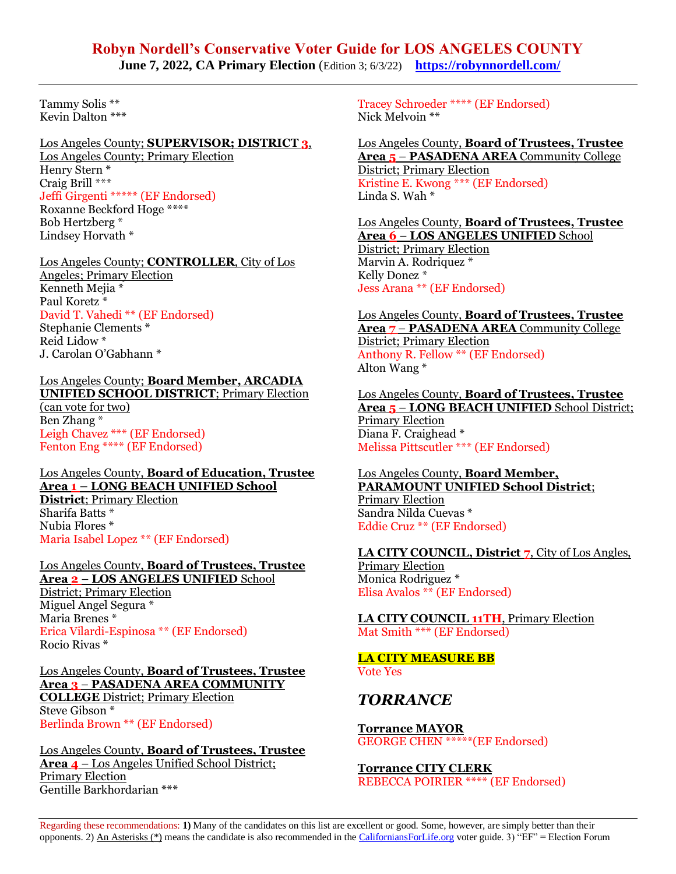# **Robyn Nordell's Conservative Voter Guide for LOS ANGELES COUNTY**

**June 7, 2022, CA Primary Election** (Edition 3; 6/3/22) **<https://robynnordell.com/>** 

Tammy Solis \*\* Kevin Dalton \*\*\*

# Los Angeles County; **SUPERVISOR; DISTRICT 3**,

Los Angeles County; Primary Election Henry Stern \* Craig Brill \*\*\* Jeffi Girgenti \*\*\*\*\* (EF Endorsed) Roxanne Beckford Hoge \*\*\*\* Bob Hertzberg \* Lindsey Horvath \*

#### Los Angeles County; **CONTROLLER**, City of Los Angeles; Primary Election Kenneth Meiia \* Paul Koretz \* David T. Vahedi \*\* (EF Endorsed) Stephanie Clements \* Reid Lidow \*

J. Carolan O'Gabhann \*

#### Los Angeles County; **Board Member, ARCADIA UNIFIED SCHOOL DISTRICT**; Primary Election (can vote for two) Ben Zhang \* Leigh Chavez \*\*\* (EF Endorsed) Fenton Eng \*\*\*\* (EF Endorsed)

#### Los Angeles County, **Board of Education, Trustee Area 1 – LONG BEACH UNIFIED School District**; Primary Election Sharifa Batts \* Nubia Flores \* Maria Isabel Lopez \*\* (EF Endorsed)

#### Los Angeles County, **Board of Trustees, Trustee Area 2** – **LOS ANGELES UNIFIED** School District; Primary Election Miguel Angel Segura \* Maria Brenes \* Erica Vilardi-Espinosa \*\* (EF Endorsed) Rocio Rivas \*

Los Angeles County, **Board of Trustees, Trustee Area 3** – **PASADENA AREA COMMUNITY COLLEGE** District; Primary Election Steve Gibson \* Berlinda Brown \*\* (EF Endorsed)

#### Los Angeles County, **Board of Trustees, Trustee Area 4** – Los Angeles Unified School District; Primary Election Gentille Barkhordarian \*\*\*

Tracey Schroeder \*\*\*\* (EF Endorsed) Nick Melvoin \*\*

#### Los Angeles County, **Board of Trustees, Trustee Area 5** – **PASADENA AREA** Community College District; Primary Election Kristine E. Kwong \*\*\* (EF Endorsed) Linda S. Wah \*

Los Angeles County, **Board of Trustees, Trustee Area 6** – **LOS ANGELES UNIFIED** School District; Primary Election Marvin A. Rodriquez \* Kelly Donez \* Jess Arana \*\* (EF Endorsed)

Los Angeles County, **Board of Trustees, Trustee Area 7** – **PASADENA AREA** Community College District; Primary Election Anthony R. Fellow \*\* (EF Endorsed) Alton Wang \*

Los Angeles County, **Board of Trustees, Trustee Area 5** – **LONG BEACH UNIFIED** School District; Primary Election Diana F. Craighead \* Melissa Pittscutler \*\*\* (EF Endorsed)

#### Los Angeles County, **Board Member, PARAMOUNT UNIFIED School District**;

Primary Election Sandra Nilda Cuevas \* Eddie Cruz \*\* (EF Endorsed)

## **LA CITY COUNCIL, District 7**, City of Los Angles,

Primary Election Monica Rodriguez \* Elisa Avalos \*\* (EF Endorsed)

**LA CITY COUNCIL 11TH**, Primary Election Mat Smith \*\*\* (EF Endorsed)

# **LA CITY MEASURE BB**

Vote Yes

# *TORRANCE*

**Torrance MAYOR** GEORGE CHEN \*\*\*\*\*(EF Endorsed)

**Torrance CITY CLERK** REBECCA POIRIER \*\*\*\* (EF Endorsed)